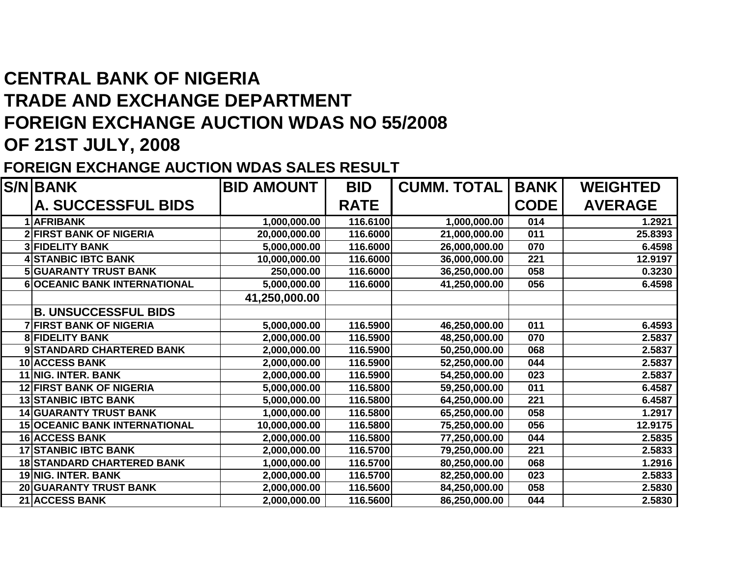## **CENTRAL BANK OF NIGERIA TRADE AND EXCHANGE DEPARTMENT FOREIGN EXCHANGE AUCTION WDAS NO 55/2008OF 21ST JULY, 2008**

## **FOREIGN EXCHANGE AUCTION WDAS SALES RESULT**

| <b>S/N BANK</b>                      | <b>BID AMOUNT</b> | <b>BID</b>  | <b>CUMM. TOTAL</b> | <b>BANK</b> | <b>WEIGHTED</b> |
|--------------------------------------|-------------------|-------------|--------------------|-------------|-----------------|
| A. SUCCESSFUL BIDS                   |                   | <b>RATE</b> |                    | <b>CODE</b> | <b>AVERAGE</b>  |
| 1 AFRIBANK                           | 1,000,000.00      | 116.6100    | 1,000,000.00       | 014         | 1.2921          |
| <b>2 FIRST BANK OF NIGERIA</b>       | 20,000,000.00     | 116.6000    | 21,000,000.00      | 011         | 25.8393         |
| <b>3 FIDELITY BANK</b>               | 5,000,000.00      | 116.6000    | 26,000,000.00      | 070         | 6.4598          |
| <b>4 STANBIC IBTC BANK</b>           | 10,000,000.00     | 116.6000    | 36,000,000.00      | 221         | 12.9197         |
| <b>5 GUARANTY TRUST BANK</b>         | 250,000.00        | 116.6000    | 36,250,000.00      | 058         | 0.3230          |
| 6 OCEANIC BANK INTERNATIONAL         | 5,000,000.00      | 116.6000    | 41,250,000.00      | 056         | 6.4598          |
|                                      | 41,250,000.00     |             |                    |             |                 |
| <b>B. UNSUCCESSFUL BIDS</b>          |                   |             |                    |             |                 |
| <b>7 FIRST BANK OF NIGERIA</b>       | 5,000,000.00      | 116.5900    | 46,250,000.00      | 011         | 6.4593          |
| <b>8 FIDELITY BANK</b>               | 2,000,000.00      | 116.5900    | 48,250,000.00      | 070         | 2.5837          |
| 9 STANDARD CHARTERED BANK            | 2,000,000.00      | 116.5900    | 50,250,000.00      | 068         | 2.5837          |
| 10 ACCESS BANK                       | 2,000,000.00      | 116.5900    | 52,250,000.00      | 044         | 2.5837          |
| 11 NIG. INTER. BANK                  | 2,000,000.00      | 116.5900    | 54,250,000.00      | 023         | 2.5837          |
| <b>12 FIRST BANK OF NIGERIA</b>      | 5,000,000.00      | 116.5800    | 59,250,000.00      | 011         | 6.4587          |
| <b>13 STANBIC IBTC BANK</b>          | 5,000,000.00      | 116.5800    | 64,250,000.00      | 221         | 6.4587          |
| <b>14 GUARANTY TRUST BANK</b>        | 1,000,000.00      | 116.5800    | 65,250,000.00      | 058         | 1.2917          |
| <b>15 OCEANIC BANK INTERNATIONAL</b> | 10,000,000.00     | 116.5800    | 75,250,000.00      | 056         | 12.9175         |
| <b>16 ACCESS BANK</b>                | 2,000,000.00      | 116.5800    | 77,250,000.00      | 044         | 2.5835          |
| <b>17 STANBIC IBTC BANK</b>          | 2,000,000.00      | 116.5700    | 79,250,000.00      | 221         | 2.5833          |
| <b>18 STANDARD CHARTERED BANK</b>    | 1,000,000.00      | 116.5700    | 80,250,000.00      | 068         | 1.2916          |
| 19 NIG. INTER. BANK                  | 2,000,000.00      | 116.5700    | 82,250,000.00      | 023         | 2.5833          |
| 20 GUARANTY TRUST BANK               | 2,000,000.00      | 116.5600    | 84,250,000.00      | 058         | 2.5830          |
| 21 ACCESS BANK                       | 2,000,000.00      | 116.5600    | 86,250,000.00      | 044         | 2.5830          |